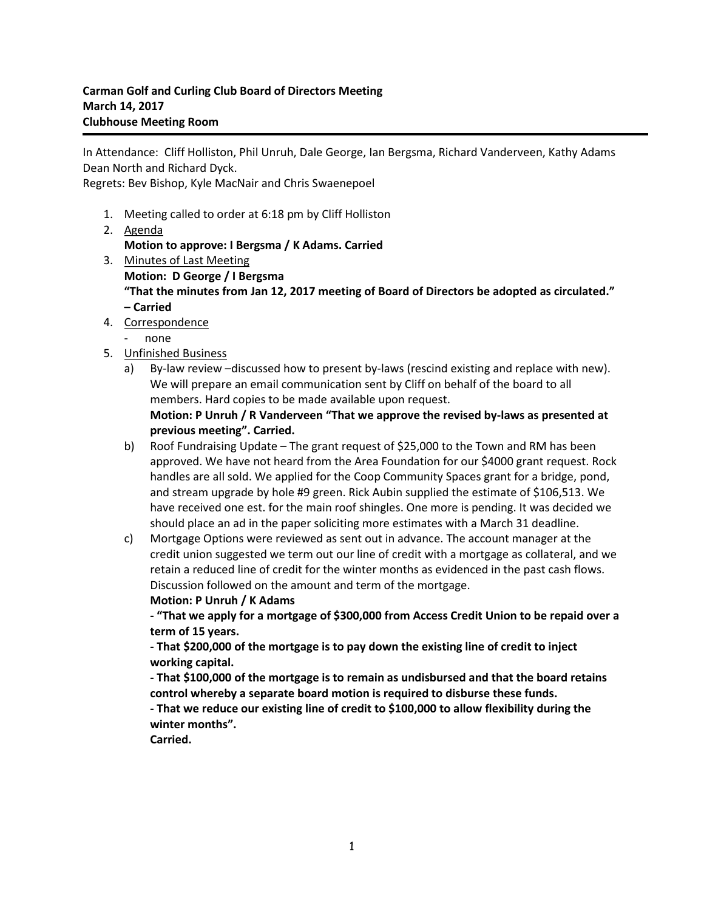In Attendance: Cliff Holliston, Phil Unruh, Dale George, Ian Bergsma, Richard Vanderveen, Kathy Adams Dean North and Richard Dyck.

Regrets: Bev Bishop, Kyle MacNair and Chris Swaenepoel

- 1. Meeting called to order at 6:18 pm by Cliff Holliston
- 2. Agenda **Motion to approve: I Bergsma / K Adams. Carried**
- 3. Minutes of Last Meeting **Motion: D George / I Bergsma "That the minutes from Jan 12, 2017 meeting of Board of Directors be adopted as circulated." – Carried**
- 4. Correspondence
	- none
- 5. Unfinished Business
	- a) By-law review –discussed how to present by-laws (rescind existing and replace with new). We will prepare an email communication sent by Cliff on behalf of the board to all members. Hard copies to be made available upon request. **Motion: P Unruh / R Vanderveen "That we approve the revised by-laws as presented at previous meeting". Carried.**
	- b) Roof Fundraising Update The grant request of \$25,000 to the Town and RM has been approved. We have not heard from the Area Foundation for our \$4000 grant request. Rock handles are all sold. We applied for the Coop Community Spaces grant for a bridge, pond, and stream upgrade by hole #9 green. Rick Aubin supplied the estimate of \$106,513. We have received one est. for the main roof shingles. One more is pending. It was decided we should place an ad in the paper soliciting more estimates with a March 31 deadline.
	- c) Mortgage Options were reviewed as sent out in advance. The account manager at the credit union suggested we term out our line of credit with a mortgage as collateral, and we retain a reduced line of credit for the winter months as evidenced in the past cash flows. Discussion followed on the amount and term of the mortgage.

**Motion: P Unruh / K Adams** 

**- "That we apply for a mortgage of \$300,000 from Access Credit Union to be repaid over a term of 15 years.** 

**- That \$200,000 of the mortgage is to pay down the existing line of credit to inject working capital.** 

**- That \$100,000 of the mortgage is to remain as undisbursed and that the board retains control whereby a separate board motion is required to disburse these funds.** 

**- That we reduce our existing line of credit to \$100,000 to allow flexibility during the winter months".** 

**Carried.**